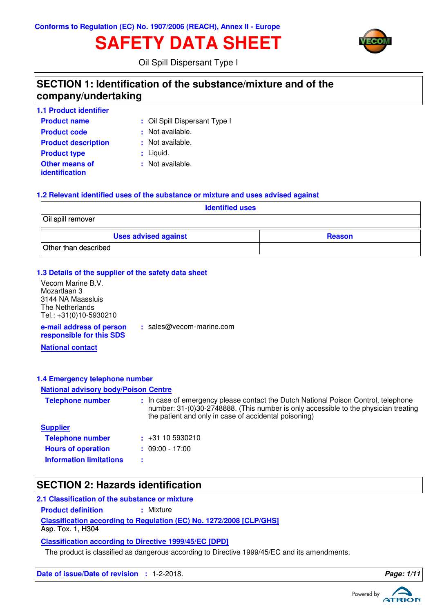# **SAFETY DATA SHEET**



Oil Spill Dispersant Type I

## **SECTION 1: Identification of the substance/mixture and of the company/undertaking**

| <b>1.1 Product identifier</b>                  |                               |
|------------------------------------------------|-------------------------------|
| <b>Product name</b>                            | : Oil Spill Dispersant Type I |
| <b>Product code</b>                            | : Not available.              |
| <b>Product description</b>                     | : Not available.              |
| <b>Product type</b>                            | $:$ Liquid.                   |
| <b>Other means of</b><br><i>identification</i> | : Not available.              |

### **1.2 Relevant identified uses of the substance or mixture and uses advised against**

| <b>Identified uses</b>      |               |
|-----------------------------|---------------|
| Oil spill remover           |               |
| <b>Uses advised against</b> | <b>Reason</b> |
| Other than described        |               |

### **1.3 Details of the supplier of the safety data sheet**

**e-mail address of person responsible for this SDS :** sales@vecom-marine.com Vecom Marine B.V. Mozartlaan 3 3144 NA Maassluis The Netherlands Tel.: +31(0)10-5930210

**National contact**

### **1.4 Emergency telephone number**

### **National advisory body/Poison Centre**

| <b>Telephone number</b>        | : In case of emergency please contact the Dutch National Poison Control, telephone<br>number: 31-(0)30-2748888. (This number is only accessible to the physician treating<br>the patient and only in case of accidental poisoning) |
|--------------------------------|------------------------------------------------------------------------------------------------------------------------------------------------------------------------------------------------------------------------------------|
| <b>Supplier</b>                |                                                                                                                                                                                                                                    |
| <b>Telephone number</b>        | $\div$ +31 10 5930210                                                                                                                                                                                                              |
| <b>Hours of operation</b>      | $: 09:00 - 17:00$                                                                                                                                                                                                                  |
| <b>Information limitations</b> |                                                                                                                                                                                                                                    |

## **SECTION 2: Hazards identification**

### **2.1 Classification of the substance or mixture**

**Product definition : Mixture** 

**Classification according to Regulation (EC) No. 1272/2008 [CLP/GHS]**

Asp. Tox. 1, H304

**Classification according to Directive 1999/45/EC [DPD]**

The product is classified as dangerous according to Directive 1999/45/EC and its amendments.

**Date of issue/Date of revision : 1-2-2018. Page: 1/1 Page: 1/1** 

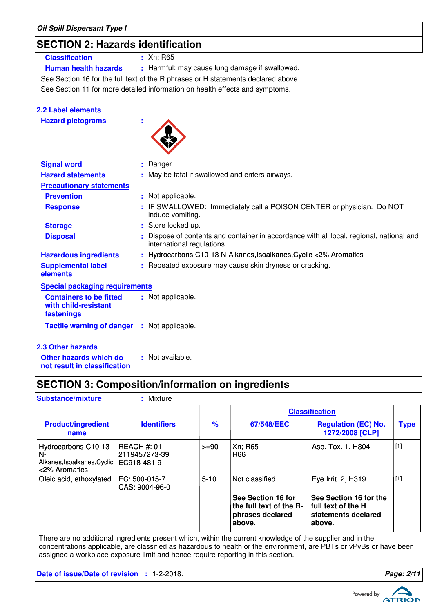## **SECTION 2: Hazards identification**

## **Classification :** Xn; R65

**Human health hazards :** Harmful: may cause lung damage if swallowed.

See Section 11 for more detailed information on health effects and symptoms. See Section 16 for the full text of the R phrases or H statements declared above.

| <b>2.2 Label elements</b>                                            |                                                                                                                      |
|----------------------------------------------------------------------|----------------------------------------------------------------------------------------------------------------------|
| <b>Hazard pictograms</b>                                             |                                                                                                                      |
| <b>Signal word</b>                                                   | : Danger                                                                                                             |
| <b>Hazard statements</b>                                             | : May be fatal if swallowed and enters airways.                                                                      |
| <b>Precautionary statements</b>                                      |                                                                                                                      |
| <b>Prevention</b>                                                    | : Not applicable.                                                                                                    |
| <b>Response</b>                                                      | : IF SWALLOWED: Immediately call a POISON CENTER or physician. Do NOT<br>induce vomiting.                            |
| <b>Storage</b>                                                       | : Store locked up.                                                                                                   |
| <b>Disposal</b>                                                      | Dispose of contents and container in accordance with all local, regional, national and<br>international regulations. |
| <b>Hazardous ingredients</b>                                         | : Hydrocarbons C10-13 N-Alkanes, Isoalkanes, Cyclic <2% Aromatics                                                    |
| <b>Supplemental label</b><br>elements                                | : Repeated exposure may cause skin dryness or cracking.                                                              |
| <b>Special packaging requirements</b>                                |                                                                                                                      |
| <b>Containers to be fitted</b><br>with child-resistant<br>fastenings | : Not applicable.                                                                                                    |
| <b>Tactile warning of danger</b>                                     | : Not applicable.                                                                                                    |
| <b>2.3 Other hazards</b>                                             |                                                                                                                      |

### **Other hazards which do : not result in classification** : Not available.

## **SECTION 3: Composition/information on ingredients**

| <b>Substance/mixture</b>                                                  | : Mixture                                      |               |                                                                             |                                                                                 |             |
|---------------------------------------------------------------------------|------------------------------------------------|---------------|-----------------------------------------------------------------------------|---------------------------------------------------------------------------------|-------------|
|                                                                           |                                                |               |                                                                             | <b>Classification</b>                                                           |             |
| <b>Product/ingredient</b><br>name                                         | <b>Identifiers</b>                             | $\frac{9}{6}$ | 67/548/EEC                                                                  | <b>Regulation (EC) No.</b><br>1272/2008 [CLP]                                   | <b>Type</b> |
| Hydrocarbons C10-13<br>N-<br>Alkanes, Isoalkanes, Cyclic<br><2% Aromatics | IREACH #: 01-<br>2119457273-39<br>IEC918-481-9 | $>= 90$       | Xn; R65<br><b>R66</b>                                                       | Asp. Tox. 1, H304                                                               | $[1]$       |
| Oleic acid, ethoxylated                                                   | EC: 500-015-7<br>CAS: 9004-96-0                | $5 - 10$      | Not classified.                                                             | Eye Irrit. 2, H319                                                              | $[1]$       |
|                                                                           |                                                |               | See Section 16 for<br>the full text of the R-<br>phrases declared<br>above. | See Section 16 for the<br>l full text of the H<br>statements declared<br>above. |             |

There are no additional ingredients present which, within the current knowledge of the supplier and in the concentrations applicable, are classified as hazardous to health or the environment, are PBTs or vPvBs or have been assigned a workplace exposure limit and hence require reporting in this section.

**Date of issue/Date of revision :** 1-2-2018. **Page: 2/11**



Powered by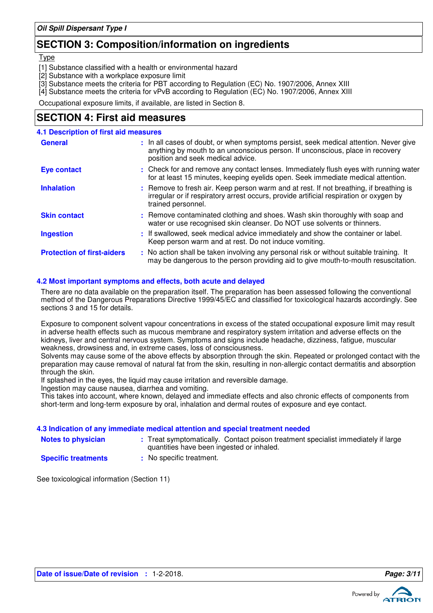## **SECTION 3: Composition/information on ingredients**

**Type** 

- [1] Substance classified with a health or environmental hazard
- [2] Substance with a workplace exposure limit
- [3] Substance meets the criteria for PBT according to Regulation (EC) No. 1907/2006, Annex XIII
- [4] Substance meets the criteria for vPvB according to Regulation (EC) No. 1907/2006, Annex XIII

Occupational exposure limits, if available, are listed in Section 8.

## **SECTION 4: First aid measures**

| <b>4.1 Description of first aid measures</b> |                                                                                                                                                                                                             |
|----------------------------------------------|-------------------------------------------------------------------------------------------------------------------------------------------------------------------------------------------------------------|
| <b>General</b>                               | : In all cases of doubt, or when symptoms persist, seek medical attention. Never give<br>anything by mouth to an unconscious person. If unconscious, place in recovery<br>position and seek medical advice. |
| <b>Eye contact</b>                           | : Check for and remove any contact lenses. Immediately flush eyes with running water<br>for at least 15 minutes, keeping eyelids open. Seek immediate medical attention.                                    |
| <b>Inhalation</b>                            | : Remove to fresh air. Keep person warm and at rest. If not breathing, if breathing is<br>irregular or if respiratory arrest occurs, provide artificial respiration or oxygen by<br>trained personnel.      |
| <b>Skin contact</b>                          | : Remove contaminated clothing and shoes. Wash skin thoroughly with soap and<br>water or use recognised skin cleanser. Do NOT use solvents or thinners.                                                     |
| <b>Ingestion</b>                             | : If swallowed, seek medical advice immediately and show the container or label.<br>Keep person warm and at rest. Do not induce vomiting.                                                                   |
| <b>Protection of first-aiders</b>            | : No action shall be taken involving any personal risk or without suitable training. It<br>may be dangerous to the person providing aid to give mouth-to-mouth resuscitation.                               |

### **4.2 Most important symptoms and effects, both acute and delayed**

There are no data available on the preparation itself. The preparation has been assessed following the conventional method of the Dangerous Preparations Directive 1999/45/EC and classified for toxicological hazards accordingly. See sections 3 and 15 for details.

Exposure to component solvent vapour concentrations in excess of the stated occupational exposure limit may result in adverse health effects such as mucous membrane and respiratory system irritation and adverse effects on the kidneys, liver and central nervous system. Symptoms and signs include headache, dizziness, fatigue, muscular weakness, drowsiness and, in extreme cases, loss of consciousness.

Solvents may cause some of the above effects by absorption through the skin. Repeated or prolonged contact with the preparation may cause removal of natural fat from the skin, resulting in non-allergic contact dermatitis and absorption through the skin.

If splashed in the eyes, the liquid may cause irritation and reversible damage.

Ingestion may cause nausea, diarrhea and vomiting.

This takes into account, where known, delayed and immediate effects and also chronic effects of components from short-term and long-term exposure by oral, inhalation and dermal routes of exposure and eye contact.

### **4.3 Indication of any immediate medical attention and special treatment needed**

| <b>Notes to physician</b> |
|---------------------------|
| On a alflu dua administra |

- **Notes to physician** : Treat symptomatically. Contact poison treatment specialist immediately if large quantities have been ingested or inhaled.
- **Specific treatments**
- **:** No specific treatment.

See toxicological information (Section 11)

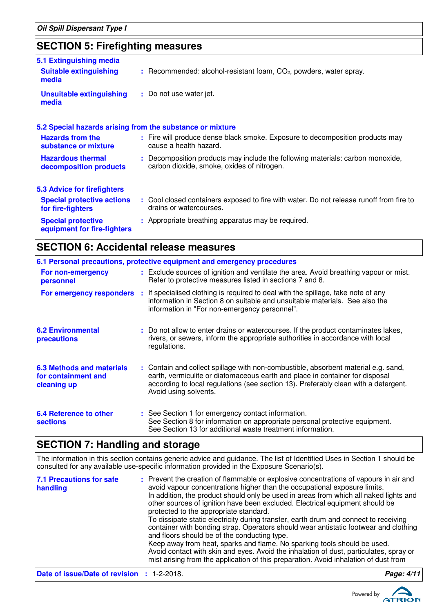## **SECTION 5: Firefighting measures**

| 5.1 Extinguishing media<br><b>Suitable extinguishing</b>  | $:$ Recommended: alcohol-resistant foam, $CO2$ , powders, water spray.                                                       |
|-----------------------------------------------------------|------------------------------------------------------------------------------------------------------------------------------|
| media                                                     |                                                                                                                              |
| <b>Unsuitable extinguishing</b><br>media                  | : Do not use water jet.                                                                                                      |
| 5.2 Special hazards arising from the substance or mixture |                                                                                                                              |
| <b>Hazards from the</b><br>substance or mixture           | : Fire will produce dense black smoke. Exposure to decomposition products may<br>cause a health hazard.                      |
| <b>Hazardous thermal</b><br>decomposition products        | : Decomposition products may include the following materials: carbon monoxide,<br>carbon dioxide, smoke, oxides of nitrogen. |
| 5.3 Advice for firefighters                               |                                                                                                                              |
| <b>Special protective actions</b><br>for fire-fighters    | : Cool closed containers exposed to fire with water. Do not release runoff from fire to<br>drains or watercourses.           |
| <b>Special protective</b><br>equipment for fire-fighters  | : Appropriate breathing apparatus may be required.                                                                           |

## **SECTION 6: Accidental release measures**

|                                                                        | 6.1 Personal precautions, protective equipment and emergency procedures                                                                                                                                                                                                            |
|------------------------------------------------------------------------|------------------------------------------------------------------------------------------------------------------------------------------------------------------------------------------------------------------------------------------------------------------------------------|
| For non-emergency<br>personnel                                         | : Exclude sources of ignition and ventilate the area. Avoid breathing vapour or mist.<br>Refer to protective measures listed in sections 7 and 8.                                                                                                                                  |
| For emergency responders                                               | : If specialised clothing is required to deal with the spillage, take note of any<br>information in Section 8 on suitable and unsuitable materials. See also the<br>information in "For non-emergency personnel".                                                                  |
| <b>6.2 Environmental</b><br>precautions                                | : Do not allow to enter drains or watercourses. If the product contaminates lakes,<br>rivers, or sewers, inform the appropriate authorities in accordance with local<br>regulations.                                                                                               |
| <b>6.3 Methods and materials</b><br>for containment and<br>cleaning up | : Contain and collect spillage with non-combustible, absorbent material e.g. sand,<br>earth, vermiculite or diatomaceous earth and place in container for disposal<br>according to local regulations (see section 13). Preferably clean with a detergent.<br>Avoid using solvents. |
| 6.4 Reference to other<br><b>sections</b>                              | : See Section 1 for emergency contact information.<br>See Section 8 for information on appropriate personal protective equipment.<br>See Section 13 for additional waste treatment information.                                                                                    |

## **SECTION 7: Handling and storage**

The information in this section contains generic advice and guidance. The list of Identified Uses in Section 1 should be consulted for any available use-specific information provided in the Exposure Scenario(s).

| <b>7.1 Precautions for safe</b><br>handling       | : Prevent the creation of flammable or explosive concentrations of vapours in air and<br>avoid vapour concentrations higher than the occupational exposure limits.<br>In addition, the product should only be used in areas from which all naked lights and<br>other sources of ignition have been excluded. Electrical equipment should be<br>protected to the appropriate standard.<br>To dissipate static electricity during transfer, earth drum and connect to receiving<br>container with bonding strap. Operators should wear antistatic footwear and clothing<br>and floors should be of the conducting type.<br>Keep away from heat, sparks and flame. No sparking tools should be used.<br>Avoid contact with skin and eyes. Avoid the inhalation of dust, particulates, spray or<br>mist arising from the application of this preparation. Avoid inhalation of dust from |            |
|---------------------------------------------------|-------------------------------------------------------------------------------------------------------------------------------------------------------------------------------------------------------------------------------------------------------------------------------------------------------------------------------------------------------------------------------------------------------------------------------------------------------------------------------------------------------------------------------------------------------------------------------------------------------------------------------------------------------------------------------------------------------------------------------------------------------------------------------------------------------------------------------------------------------------------------------------|------------|
| <b>Date of issue/Date of revision : 1-2-2018.</b> |                                                                                                                                                                                                                                                                                                                                                                                                                                                                                                                                                                                                                                                                                                                                                                                                                                                                                     | Page: 4/11 |

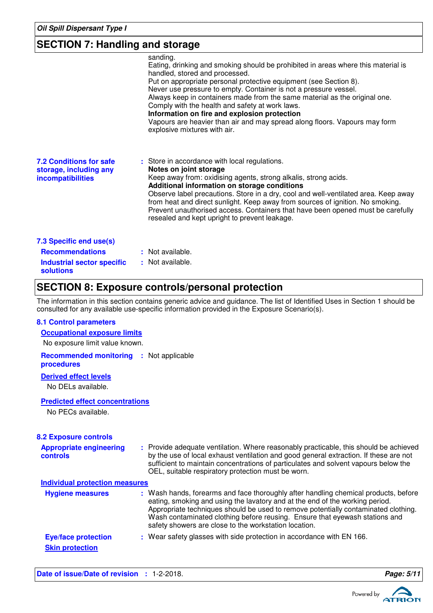## **SECTION 7: Handling and storage**

|                                                                                                            | sanding.<br>Eating, drinking and smoking should be prohibited in areas where this material is<br>handled, stored and processed.<br>Put on appropriate personal protective equipment (see Section 8).<br>Never use pressure to empty. Container is not a pressure vessel.<br>Always keep in containers made from the same material as the original one.<br>Comply with the health and safety at work laws.<br>Information on fire and explosion protection<br>Vapours are heavier than air and may spread along floors. Vapours may form<br>explosive mixtures with air. |
|------------------------------------------------------------------------------------------------------------|-------------------------------------------------------------------------------------------------------------------------------------------------------------------------------------------------------------------------------------------------------------------------------------------------------------------------------------------------------------------------------------------------------------------------------------------------------------------------------------------------------------------------------------------------------------------------|
| <b>7.2 Conditions for safe</b><br>storage, including any<br><i>incompatibilities</i>                       | : Store in accordance with local regulations.<br>Notes on joint storage<br>Keep away from: oxidising agents, strong alkalis, strong acids.<br>Additional information on storage conditions<br>Observe label precautions. Store in a dry, cool and well-ventilated area. Keep away<br>from heat and direct sunlight. Keep away from sources of ignition. No smoking.<br>Prevent unauthorised access. Containers that have been opened must be carefully<br>resealed and kept upright to prevent leakage.                                                                 |
| 7.3 Specific end use(s)<br><b>Recommendations</b><br><b>Industrial sector specific</b><br><b>solutions</b> | : Not available.<br>: Not available.                                                                                                                                                                                                                                                                                                                                                                                                                                                                                                                                    |

## **SECTION 8: Exposure controls/personal protection**

The information in this section contains generic advice and guidance. The list of Identified Uses in Section 1 should be consulted for any available use-specific information provided in the Exposure Scenario(s).

### **8.1 Control parameters**

| <b>Occupational exposure limits</b> |  |
|-------------------------------------|--|
| No exposure limit value known.      |  |

**Recommended monitoring :** Not applicable **procedures**

### **Derived effect levels**

No DELs available.

### **Predicted effect concentrations**

No PECs available.

| <b>8.2 Exposure controls</b>                         |                                                                                                                                                                                                                                                                                                                                                                                                   |
|------------------------------------------------------|---------------------------------------------------------------------------------------------------------------------------------------------------------------------------------------------------------------------------------------------------------------------------------------------------------------------------------------------------------------------------------------------------|
| <b>Appropriate engineering</b><br>controls           | : Provide adequate ventilation. Where reasonably practicable, this should be achieved<br>by the use of local exhaust ventilation and good general extraction. If these are not<br>sufficient to maintain concentrations of particulates and solvent vapours below the<br>OEL, suitable respiratory protection must be worn.                                                                       |
| <b>Individual protection measures</b>                |                                                                                                                                                                                                                                                                                                                                                                                                   |
| <b>Hygiene measures</b>                              | : Wash hands, forearms and face thoroughly after handling chemical products, before<br>eating, smoking and using the lavatory and at the end of the working period.<br>Appropriate techniques should be used to remove potentially contaminated clothing.<br>Wash contaminated clothing before reusing. Ensure that eyewash stations and<br>safety showers are close to the workstation location. |
| <b>Eye/face protection</b><br><b>Skin protection</b> | : Wear safety glasses with side protection in accordance with EN 166.                                                                                                                                                                                                                                                                                                                             |

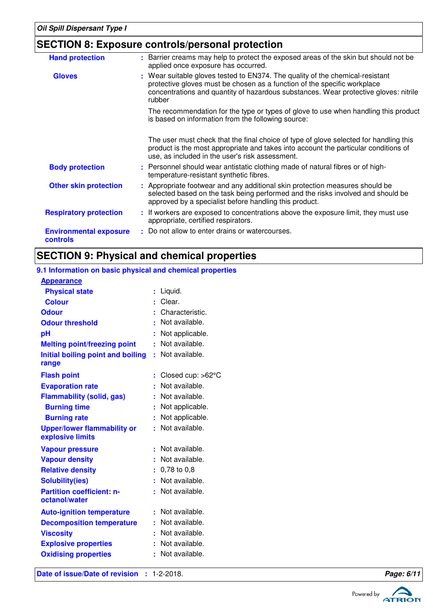## **SECTION 8: Exposure controls/personal protection**

| <b>Hand protection</b>                    | : Barrier creams may help to protect the exposed areas of the skin but should not be<br>applied once exposure has occurred.                                                                                                                                 |
|-------------------------------------------|-------------------------------------------------------------------------------------------------------------------------------------------------------------------------------------------------------------------------------------------------------------|
| <b>Gloves</b>                             | : Wear suitable gloves tested to EN374. The quality of the chemical-resistant<br>protective gloves must be chosen as a function of the specific workplace<br>concentrations and quantity of hazardous substances. Wear protective gloves: nitrile<br>rubber |
|                                           | The recommendation for the type or types of glove to use when handling this product<br>is based on information from the following source:                                                                                                                   |
|                                           | The user must check that the final choice of type of glove selected for handling this<br>product is the most appropriate and takes into account the particular conditions of<br>use, as included in the user's risk assessment.                             |
| <b>Body protection</b>                    | : Personnel should wear antistatic clothing made of natural fibres or of high-<br>temperature-resistant synthetic fibres.                                                                                                                                   |
| <b>Other skin protection</b>              | : Appropriate footwear and any additional skin protection measures should be<br>selected based on the task being performed and the risks involved and should be<br>approved by a specialist before handling this product.                                   |
| <b>Respiratory protection</b>             | : If workers are exposed to concentrations above the exposure limit, they must use<br>appropriate, certified respirators.                                                                                                                                   |
| <b>Environmental exposure</b><br>controls | : Do not allow to enter drains or watercourses.                                                                                                                                                                                                             |

## **SECTION 9: Physical and chemical properties**

### **9.1 Information on basic physical and chemical properties Appearance**

| Date of issue/Date of revision : 1-2-2018.             |                               | Page: 6/11 |
|--------------------------------------------------------|-------------------------------|------------|
| <b>Oxidising properties</b>                            | Not available.<br>н.          |            |
| <b>Explosive properties</b>                            | Not available.                |            |
| <b>Viscosity</b>                                       | Not available.                |            |
| <b>Decomposition temperature</b>                       | Not available.                |            |
| <b>Auto-ignition temperature</b>                       | Not available.                |            |
| <b>Partition coefficient: n-</b><br>octanol/water      | Not available.                |            |
| <b>Solubility(ies)</b>                                 | Not available.                |            |
| <b>Relative density</b>                                | $: 0.78$ to 0.8               |            |
| <b>Vapour density</b>                                  | Not available.                |            |
| <b>Vapour pressure</b>                                 | Not available.                |            |
| <b>Upper/lower flammability or</b><br>explosive limits | : Not available.              |            |
| <b>Burning rate</b>                                    | Not applicable.               |            |
| <b>Burning time</b>                                    | Not applicable.               |            |
| <b>Flammability (solid, gas)</b>                       | Not available.                |            |
| <b>Evaporation rate</b>                                | Not available.                |            |
| <b>Flash point</b>                                     | : Closed cup: $>62^{\circ}$ C |            |
| range                                                  |                               |            |
| Initial boiling point and boiling                      | : Not available.              |            |
| <b>Melting point/freezing point</b>                    | : Not available.              |            |
| pH                                                     | Not applicable.               |            |
| <b>Odour threshold</b>                                 | Not available.                |            |
| <b>Odour</b>                                           | Characteristic.               |            |
| <b>Physical state</b><br><b>Colour</b>                 | : Liquid.<br>Clear.           |            |
| .                                                      |                               |            |

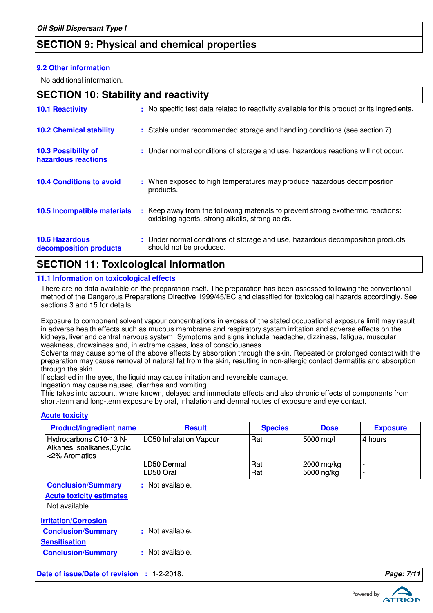## **SECTION 9: Physical and chemical properties**

### **9.2 Other information**

No additional information.

| <b>SECTION 10: Stability and reactivity</b>     |  |                                                                                                                                     |
|-------------------------------------------------|--|-------------------------------------------------------------------------------------------------------------------------------------|
| <b>10.1 Reactivity</b>                          |  | : No specific test data related to reactivity available for this product or its ingredients.                                        |
| <b>10.2 Chemical stability</b>                  |  | : Stable under recommended storage and handling conditions (see section 7).                                                         |
| 10.3 Possibility of<br>hazardous reactions      |  | : Under normal conditions of storage and use, hazardous reactions will not occur.                                                   |
| <b>10.4 Conditions to avoid</b>                 |  | : When exposed to high temperatures may produce hazardous decomposition<br>products.                                                |
| 10.5 Incompatible materials                     |  | : Keep away from the following materials to prevent strong exothermic reactions:<br>oxidising agents, strong alkalis, strong acids. |
| <b>10.6 Hazardous</b><br>decomposition products |  | : Under normal conditions of storage and use, hazardous decomposition products<br>should not be produced.                           |

## **SECTION 11: Toxicological information**

### **11.1 Information on toxicological effects**

There are no data available on the preparation itself. The preparation has been assessed following the conventional method of the Dangerous Preparations Directive 1999/45/EC and classified for toxicological hazards accordingly. See sections 3 and 15 for details.

Exposure to component solvent vapour concentrations in excess of the stated occupational exposure limit may result in adverse health effects such as mucous membrane and respiratory system irritation and adverse effects on the kidneys, liver and central nervous system. Symptoms and signs include headache, dizziness, fatigue, muscular weakness, drowsiness and, in extreme cases, loss of consciousness.

Solvents may cause some of the above effects by absorption through the skin. Repeated or prolonged contact with the preparation may cause removal of natural fat from the skin, resulting in non-allergic contact dermatitis and absorption through the skin.

If splashed in the eyes, the liquid may cause irritation and reversible damage.

Ingestion may cause nausea, diarrhea and vomiting.

This takes into account, where known, delayed and immediate effects and also chronic effects of components from short-term and long-term exposure by oral, inhalation and dermal routes of exposure and eye contact.

### **Acute toxicity**

| <b>Product/ingredient name</b>                                         | <b>Result</b>                 | <b>Species</b> | <b>Dose</b>              | <b>Exposure</b> |
|------------------------------------------------------------------------|-------------------------------|----------------|--------------------------|-----------------|
| Hydrocarbons C10-13 N-<br>Alkanes, Isoalkanes, Cyclic<br><2% Aromatics | <b>LC50 Inhalation Vapour</b> | Rat            | 5000 mg/l                | 4 hours         |
|                                                                        | LD50 Dermal<br>LD50 Oral      | Rat<br>Rat     | 2000 mg/kg<br>5000 ng/kg | ٠               |
|                                                                        |                               |                |                          | ۰               |
| <b>Conclusion/Summary</b>                                              | : Not available.              |                |                          |                 |
| <b>Acute toxicity estimates</b>                                        |                               |                |                          |                 |
| Not available.                                                         |                               |                |                          |                 |
| <b>Irritation/Corrosion</b>                                            |                               |                |                          |                 |
| <b>Conclusion/Summary</b>                                              | : Not available.              |                |                          |                 |
| <b>Sensitisation</b>                                                   |                               |                |                          |                 |
| <b>Conclusion/Summary</b>                                              | : Not available.              |                |                          |                 |
| Date of issue/Date of revision : 1-2-2018.                             |                               |                |                          | Page: 7/11      |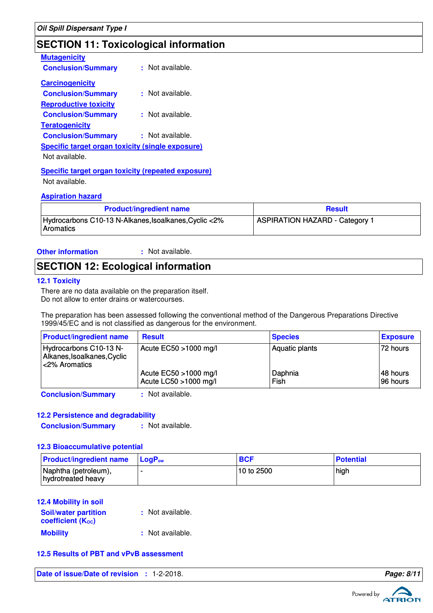## **SECTION 11: Toxicological information**

| <b>Mutagenicity</b>                                       |                      |
|-----------------------------------------------------------|----------------------|
| <b>Conclusion/Summary</b>                                 | $\pm$ Not available. |
| <b>Carcinogenicity</b>                                    |                      |
| <b>Conclusion/Summary</b>                                 | : Not available.     |
| <b>Reproductive toxicity</b>                              |                      |
| <b>Conclusion/Summary</b>                                 | : Not available.     |
| <b>Teratogenicity</b>                                     |                      |
| <b>Conclusion/Summary</b>                                 | : Not available.     |
| Specific target organ toxicity (single exposure)          |                      |
| Not available.                                            |                      |
| <b>Specific target organ toxicity (repeated exposure)</b> |                      |

Not available.

### **Aspiration hazard**

| <b>Product/ingredient name</b>                                     | <b>Result</b>                         |
|--------------------------------------------------------------------|---------------------------------------|
| Hydrocarbons C10-13 N-Alkanes, Isoalkanes, Cyclic <2%<br>Aromatics | <b>ASPIRATION HAZARD - Category 1</b> |

**Other information :**

: Not available.

## **SECTION 12: Ecological information**

### **12.1 Toxicity**

There are no data available on the preparation itself. Do not allow to enter drains or watercourses.

The preparation has been assessed following the conventional method of the Dangerous Preparations Directive 1999/45/EC and is not classified as dangerous for the environment.

| <b>Product/ingredient name</b>                                         | <b>Result</b>                                  | <b>Species</b>  | <b>Exposure</b>       |
|------------------------------------------------------------------------|------------------------------------------------|-----------------|-----------------------|
| Hydrocarbons C10-13 N-<br>Alkanes, Isoalkanes, Cyclic<br><2% Aromatics | Acute $EC50 > 1000$ mg/l                       | Aquatic plants  | 72 hours              |
|                                                                        | Acute EC50 >1000 mg/l<br>Acute LC50 >1000 mg/l | Daphnia<br>Fish | I48 hours<br>96 hours |

**Conclusion/Summary :** Not available.

### **12.2 Persistence and degradability**

**Conclusion/Summary :** Not available.

### **12.3 Bioaccumulative potential**

| <b>Product/ingredient name</b> LogP <sub>ow</sub> | <b>BCF</b> | <b>Potential</b> |
|---------------------------------------------------|------------|------------------|
| Naphtha (petroleum),<br>hydrotreated heavy        | 10 to 2500 | high             |

### **12.4 Mobility in soil**

| <b>Soil/water partition</b><br><b>coefficient (Koc)</b> | : Not available. |
|---------------------------------------------------------|------------------|
| <b>Mobility</b>                                         | : Not available. |

### **12.5 Results of PBT and vPvB assessment**

**Date of issue/Date of revision : 1-2-2018. Page: 8/1 Page: 8/1 Page: 8/1** 

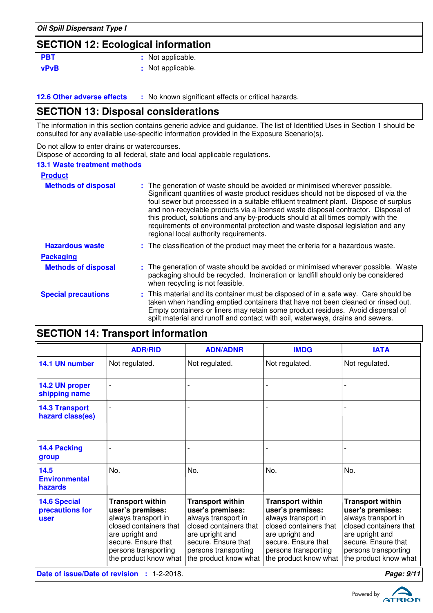## **SECTION 12: Ecological information**

| <b>PBT</b>  | : Not applicable. |
|-------------|-------------------|
| <b>vPvB</b> | : Not applicable. |

**12.6 Other adverse effects** : No known significant effects or critical hazards.

## **SECTION 13: Disposal considerations**

The information in this section contains generic advice and guidance. The list of Identified Uses in Section 1 should be consulted for any available use-specific information provided in the Exposure Scenario(s).

Do not allow to enter drains or watercourses.

Dispose of according to all federal, state and local applicable regulations.

### **13.1 Waste treatment methods**

| <b>Product</b>             |                                                                                                                                                                                                                                                                                                                                                                                                                                                                                                                                                               |
|----------------------------|---------------------------------------------------------------------------------------------------------------------------------------------------------------------------------------------------------------------------------------------------------------------------------------------------------------------------------------------------------------------------------------------------------------------------------------------------------------------------------------------------------------------------------------------------------------|
| <b>Methods of disposal</b> | : The generation of waste should be avoided or minimised wherever possible.<br>Significant quantities of waste product residues should not be disposed of via the<br>foul sewer but processed in a suitable effluent treatment plant. Dispose of surplus<br>and non-recyclable products via a licensed waste disposal contractor. Disposal of<br>this product, solutions and any by-products should at all times comply with the<br>requirements of environmental protection and waste disposal legislation and any<br>regional local authority requirements. |
| <b>Hazardous waste</b>     | : The classification of the product may meet the criteria for a hazardous waste.                                                                                                                                                                                                                                                                                                                                                                                                                                                                              |
| <b>Packaging</b>           |                                                                                                                                                                                                                                                                                                                                                                                                                                                                                                                                                               |
| <b>Methods of disposal</b> | : The generation of waste should be avoided or minimised wherever possible. Waste<br>packaging should be recycled. Incineration or landfill should only be considered<br>when recycling is not feasible.                                                                                                                                                                                                                                                                                                                                                      |
| <b>Special precautions</b> | : This material and its container must be disposed of in a safe way. Care should be<br>taken when handling emptied containers that have not been cleaned or rinsed out.<br>Empty containers or liners may retain some product residues. Avoid dispersal of<br>spilt material and runoff and contact with soil, waterways, drains and sewers.                                                                                                                                                                                                                  |

| 02011011 17. Hansport Information                     |                                                                                                                                                                                         |                                                                                                                                                                                         |                                                                                                                                                                                         |                                                                                                                                                                                         |
|-------------------------------------------------------|-----------------------------------------------------------------------------------------------------------------------------------------------------------------------------------------|-----------------------------------------------------------------------------------------------------------------------------------------------------------------------------------------|-----------------------------------------------------------------------------------------------------------------------------------------------------------------------------------------|-----------------------------------------------------------------------------------------------------------------------------------------------------------------------------------------|
|                                                       | <b>ADR/RID</b>                                                                                                                                                                          | <b>ADN/ADNR</b>                                                                                                                                                                         | <b>IMDG</b>                                                                                                                                                                             | <b>IATA</b>                                                                                                                                                                             |
| 14.1 UN number                                        | Not regulated.                                                                                                                                                                          | Not regulated.                                                                                                                                                                          | Not regulated.                                                                                                                                                                          | Not regulated.                                                                                                                                                                          |
| 14.2 UN proper<br>shipping name                       |                                                                                                                                                                                         |                                                                                                                                                                                         |                                                                                                                                                                                         |                                                                                                                                                                                         |
| <b>14.3 Transport</b><br>hazard class(es)             |                                                                                                                                                                                         |                                                                                                                                                                                         |                                                                                                                                                                                         |                                                                                                                                                                                         |
| <b>14.4 Packing</b><br>group                          |                                                                                                                                                                                         |                                                                                                                                                                                         |                                                                                                                                                                                         |                                                                                                                                                                                         |
| 14.5<br><b>Environmental</b><br>hazards               | No.                                                                                                                                                                                     | No.                                                                                                                                                                                     | No.                                                                                                                                                                                     | No.                                                                                                                                                                                     |
| <b>14.6 Special</b><br>precautions for<br><b>user</b> | <b>Transport within</b><br>user's premises:<br>always transport in<br>closed containers that<br>are upright and<br>secure. Ensure that<br>persons transporting<br>the product know what | <b>Transport within</b><br>user's premises:<br>always transport in<br>closed containers that<br>are upright and<br>secure. Ensure that<br>persons transporting<br>the product know what | <b>Transport within</b><br>user's premises:<br>always transport in<br>closed containers that<br>are upright and<br>secure. Ensure that<br>persons transporting<br>the product know what | <b>Transport within</b><br>user's premises:<br>always transport in<br>closed containers that<br>are upright and<br>secure. Ensure that<br>persons transporting<br>the product know what |
|                                                       | Date of issue/Date of revision : 1-2-2018.                                                                                                                                              |                                                                                                                                                                                         |                                                                                                                                                                                         | Page: 9/11                                                                                                                                                                              |

**SECTION 14: Transport information**

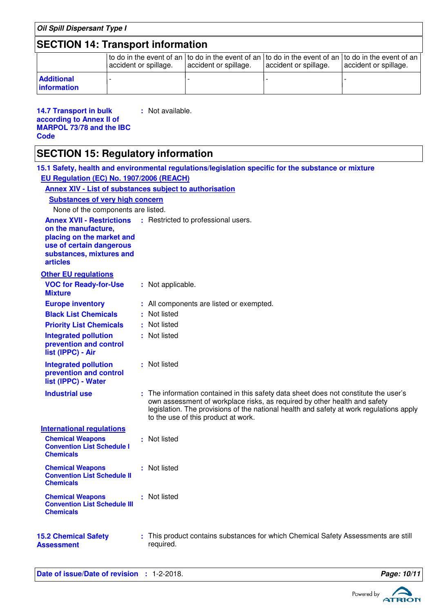| <b>Oil Spill Dispersant Type I</b>                                                                                                                                                                     |                                                                       |                                                                                                                                                                                                                                                                                                     |                       |                                                                                                                              |                       |  |
|--------------------------------------------------------------------------------------------------------------------------------------------------------------------------------------------------------|-----------------------------------------------------------------------|-----------------------------------------------------------------------------------------------------------------------------------------------------------------------------------------------------------------------------------------------------------------------------------------------------|-----------------------|------------------------------------------------------------------------------------------------------------------------------|-----------------------|--|
| <b>SECTION 14: Transport information</b>                                                                                                                                                               |                                                                       |                                                                                                                                                                                                                                                                                                     |                       |                                                                                                                              |                       |  |
|                                                                                                                                                                                                        | accident or spillage.                                                 |                                                                                                                                                                                                                                                                                                     | accident or spillage. | to do in the event of an to do in the event of an to do in the event of an to do in the event of an<br>accident or spillage. | accident or spillage. |  |
| <b>Additional</b><br>information                                                                                                                                                                       |                                                                       |                                                                                                                                                                                                                                                                                                     |                       |                                                                                                                              |                       |  |
| : Not available.<br><b>14.7 Transport in bulk</b><br>according to Annex II of<br><b>MARPOL 73/78 and the IBC</b><br>Code                                                                               |                                                                       |                                                                                                                                                                                                                                                                                                     |                       |                                                                                                                              |                       |  |
| <b>SECTION 15: Regulatory information</b>                                                                                                                                                              |                                                                       |                                                                                                                                                                                                                                                                                                     |                       |                                                                                                                              |                       |  |
| EU Regulation (EC) No. 1907/2006 (REACH)<br><b>Annex XIV - List of substances subject to authorisation</b><br><b>Substances of very high concern</b>                                                   |                                                                       |                                                                                                                                                                                                                                                                                                     |                       | 15.1 Safety, health and environmental regulations/legislation specific for the substance or mixture                          |                       |  |
| None of the components are listed.                                                                                                                                                                     |                                                                       |                                                                                                                                                                                                                                                                                                     |                       |                                                                                                                              |                       |  |
| <b>Annex XVII - Restrictions</b><br>: Restricted to professional users.<br>on the manufacture,<br>placing on the market and<br>use of certain dangerous<br>substances, mixtures and<br><b>articles</b> |                                                                       |                                                                                                                                                                                                                                                                                                     |                       |                                                                                                                              |                       |  |
| <b>Other EU regulations</b>                                                                                                                                                                            |                                                                       |                                                                                                                                                                                                                                                                                                     |                       |                                                                                                                              |                       |  |
| <b>VOC for Ready-for-Use</b><br><b>Mixture</b>                                                                                                                                                         |                                                                       | : Not applicable.                                                                                                                                                                                                                                                                                   |                       |                                                                                                                              |                       |  |
| <b>Europe inventory</b>                                                                                                                                                                                |                                                                       | : All components are listed or exempted.                                                                                                                                                                                                                                                            |                       |                                                                                                                              |                       |  |
| <b>Black List Chemicals</b>                                                                                                                                                                            |                                                                       | : Not listed                                                                                                                                                                                                                                                                                        |                       |                                                                                                                              |                       |  |
| <b>Priority List Chemicals</b>                                                                                                                                                                         |                                                                       | : Not listed                                                                                                                                                                                                                                                                                        |                       |                                                                                                                              |                       |  |
| list (IPPC) - Air                                                                                                                                                                                      | : Not listed<br><b>Integrated pollution</b><br>prevention and control |                                                                                                                                                                                                                                                                                                     |                       |                                                                                                                              |                       |  |
| <b>Integrated pollution</b><br>prevention and control<br>list (IPPC) - Water                                                                                                                           |                                                                       | : Not listed                                                                                                                                                                                                                                                                                        |                       |                                                                                                                              |                       |  |
| <b>Industrial use</b>                                                                                                                                                                                  |                                                                       | : The information contained in this safety data sheet does not constitute the user's<br>own assessment of workplace risks, as required by other health and safety<br>legislation. The provisions of the national health and safety at work regulations apply<br>to the use of this product at work. |                       |                                                                                                                              |                       |  |
| <b>International regulations</b>                                                                                                                                                                       |                                                                       |                                                                                                                                                                                                                                                                                                     |                       |                                                                                                                              |                       |  |
| <b>Chemical Weapons</b><br><b>Convention List Schedule I</b><br><b>Chemicals</b>                                                                                                                       |                                                                       | : Not listed                                                                                                                                                                                                                                                                                        |                       |                                                                                                                              |                       |  |
| <b>Chemical Weapons</b><br><b>Convention List Schedule II</b><br><b>Chemicals</b>                                                                                                                      |                                                                       | : Not listed                                                                                                                                                                                                                                                                                        |                       |                                                                                                                              |                       |  |
| <b>Chemical Weapons</b><br><b>Convention List Schedule III</b><br><b>Chemicals</b>                                                                                                                     |                                                                       | : Not listed                                                                                                                                                                                                                                                                                        |                       |                                                                                                                              |                       |  |
| <b>15.2 Chemical Safety</b><br><b>Assessment</b>                                                                                                                                                       |                                                                       | required.                                                                                                                                                                                                                                                                                           |                       | : This product contains substances for which Chemical Safety Assessments are still                                           |                       |  |